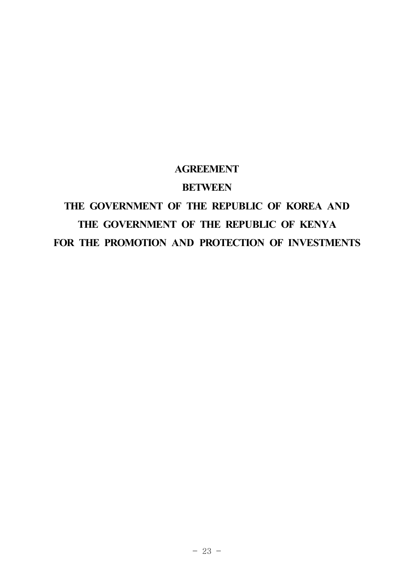### **AGREEMENT**

### **BETWEEN**

# **THE GOVERNMENT OF THE REPUBLIC OF KOREA AND THE GOVERNMENT OF THE REPUBLIC OF KENYA FOR THE PROMOTION AND PROTECTION OF INVESTMENTS**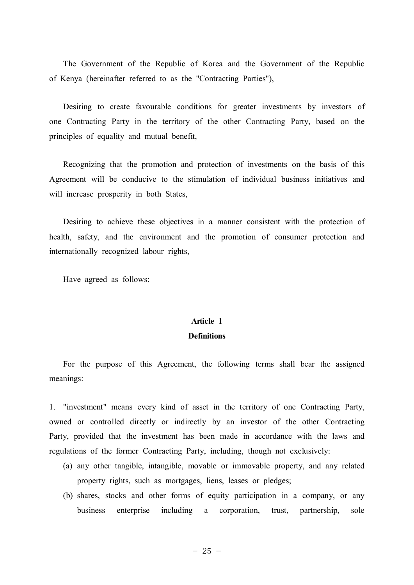The Government of the Republic of Korea and the Government of the Republic of Kenya (hereinafter referred to as the "Contracting Parties"),

Desiring to create favourable conditions for greater investments by investors of one Contracting Party in the territory of the other Contracting Party, based on the principles of equality and mutual benefit,

Recognizing that the promotion and protection of investments on the basis of this Agreement will be conducive to the stimulation of individual business initiatives and will increase prosperity in both States,

Desiring to achieve these objectives in a manner consistent with the protection of health, safety, and the environment and the promotion of consumer protection and internationally recognized labour rights,

Have agreed as follows:

### **Article 1 Definitions**

For the purpose of this Agreement, the following terms shall bear the assigned meanings:

1. "investment" means every kind of asset in the territory of one Contracting Party, owned or controlled directly or indirectly by an investor of the other Contracting Party, provided that the investment has been made in accordance with the laws and regulations of the former Contracting Party, including, though not exclusively:

- (a) any other tangible, intangible, movable or immovable property, and any related property rights, such as mortgages, liens, leases or pledges;
- (b) shares, stocks and other forms of equity participation in a company, or any business enterprise including a corporation, trust, partnership, sole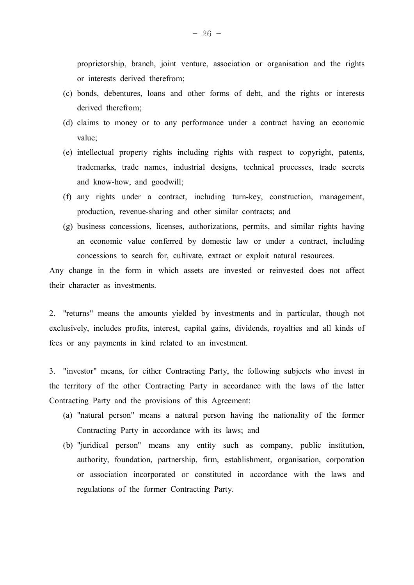proprietorship, branch, joint venture, association or organisation and the rights or interests derived therefrom;

- (c) bonds, debentures, loans and other forms of debt, and the rights or interests derived therefrom;
- (d) claims to money or to any performance under a contract having an economic value;
- (e) intellectual property rights including rights with respect to copyright, patents, trademarks, trade names, industrial designs, technical processes, trade secrets and know-how, and goodwill;
- (f) any rights under a contract, including turn-key, construction, management, production, revenue-sharing and other similar contracts; and
- (g) business concessions, licenses, authorizations, permits, and similar rights having an economic value conferred by domestic law or under a contract, including concessions to search for, cultivate, extract or exploit natural resources.

Any change in the form in which assets are invested or reinvested does not affect their character as investments.

2. "returns" means the amounts yielded by investments and in particular, though not exclusively, includes profits, interest, capital gains, dividends, royalties and all kinds of fees or any payments in kind related to an investment.

3. "investor" means, for either Contracting Party, the following subjects who invest in the territory of the other Contracting Party in accordance with the laws of the latter Contracting Party and the provisions of this Agreement:

- (a) "natural person" means a natural person having the nationality of the former Contracting Party in accordance with its laws; and
- (b) "juridical person" means any entity such as company, public institution, authority, foundation, partnership, firm, establishment, organisation, corporation or association incorporated or constituted in accordance with the laws and regulations of the former Contracting Party.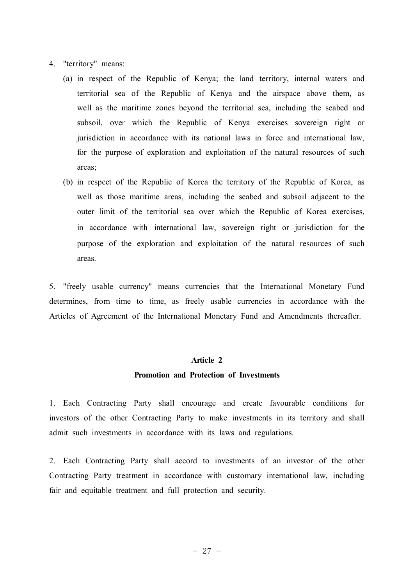- 4. "territory" means:
	- (a) in respect of the Republic of Kenya; the land territory, internal waters and territorial sea of the Republic of Kenya and the airspace above them, as well as the maritime zones beyond the territorial sea, including the seabed and subsoil, over which the Republic of Kenya exercises sovereign right or jurisdiction in accordance with its national laws in force and international law, for the purpose of exploration and exploitation of the natural resources of such areas;
	- (b) in respect of the Republic of Korea the territory of the Republic of Korea, as well as those maritime areas, including the seabed and subsoil adjacent to the outer limit of the territorial sea over which the Republic of Korea exercises, in accordance with international law, sovereign right or jurisdiction for the purpose of the exploration and exploitation of the natural resources of such areas.

5. "freely usable currency" means currencies that the International Monetary Fund determines, from time to time, as freely usable currencies in accordance with the Articles of Agreement of the International Monetary Fund and Amendments thereafter.

#### **Article 2**

#### **Promotion and Protection of Investments**

1. Each Contracting Party shall encourage and create favourable conditions for investors of the other Contracting Party to make investments in its territory and shall admit such investments in accordance with its laws and regulations.

2. Each Contracting Party shall accord to investments of an investor of the other Contracting Party treatment in accordance with customary international law, including fair and equitable treatment and full protection and security.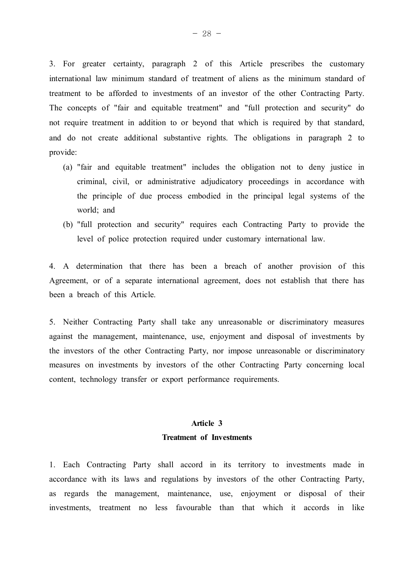3. For greater certainty, paragraph 2 of this Article prescribes the customary international law minimum standard of treatment of aliens as the minimum standard of treatment to be afforded to investments of an investor of the other Contracting Party. The concepts of "fair and equitable treatment" and "full protection and security" do not require treatment in addition to or beyond that which is required by that standard, and do not create additional substantive rights. The obligations in paragraph 2 to provide:

- (a) "fair and equitable treatment" includes the obligation not to deny justice in criminal, civil, or administrative adjudicatory proceedings in accordance with the principle of due process embodied in the principal legal systems of the world; and
- (b) "full protection and security" requires each Contracting Party to provide the level of police protection required under customary international law.

4. A determination that there has been a breach of another provision of this Agreement, or of a separate international agreement, does not establish that there has been a breach of this Article.

5. Neither Contracting Party shall take any unreasonable or discriminatory measures against the management, maintenance, use, enjoyment and disposal of investments by the investors of the other Contracting Party, nor impose unreasonable or discriminatory measures on investments by investors of the other Contracting Party concerning local content, technology transfer or export performance requirements.

### **Article 3 Treatment of Investments**

1. Each Contracting Party shall accord in its territory to investments made in accordance with its laws and regulations by investors of the other Contracting Party, as regards the management, maintenance, use, enjoyment or disposal of their investments, treatment no less favourable than that which it accords in like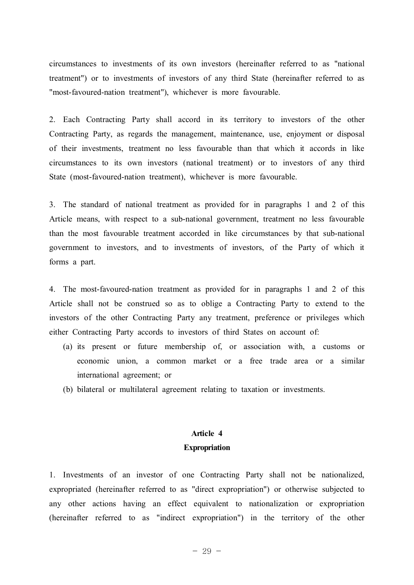circumstances to investments of its own investors (hereinafter referred to as "national treatment") or to investments of investors of any third State (hereinafter referred to as "most-favoured-nation treatment"), whichever is more favourable.

2. Each Contracting Party shall accord in its territory to investors of the other Contracting Party, as regards the management, maintenance, use, enjoyment or disposal of their investments, treatment no less favourable than that which it accords in like circumstances to its own investors (national treatment) or to investors of any third State (most-favoured-nation treatment), whichever is more favourable.

3. The standard of national treatment as provided for in paragraphs 1 and 2 of this Article means, with respect to a sub-national government, treatment no less favourable than the most favourable treatment accorded in like circumstances by that sub-national government to investors, and to investments of investors, of the Party of which it forms a part.

4. The most-favoured-nation treatment as provided for in paragraphs 1 and 2 of this Article shall not be construed so as to oblige a Contracting Party to extend to the investors of the other Contracting Party any treatment, preference or privileges which either Contracting Party accords to investors of third States on account of:

- (a) its present or future membership of, or association with, a customs or economic union, a common market or a free trade area or a similar international agreement; or
- (b) bilateral or multilateral agreement relating to taxation or investments.

#### **Article 4**

#### **Expropriation**

1. Investments of an investor of one Contracting Party shall not be nationalized, expropriated (hereinafter referred to as "direct expropriation") or otherwise subjected to any other actions having an effect equivalent to nationalization or expropriation (hereinafter referred to as "indirect expropriation") in the territory of the other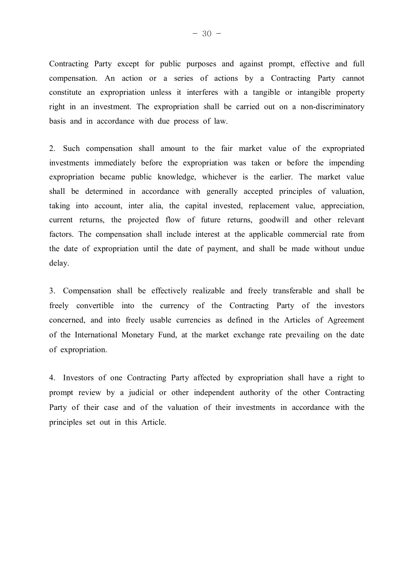Contracting Party except for public purposes and against prompt, effective and full compensation. An action or a series of actions by a Contracting Party cannot constitute an expropriation unless it interferes with a tangible or intangible property right in an investment. The expropriation shall be carried out on a non-discriminatory basis and in accordance with due process of law.

2. Such compensation shall amount to the fair market value of the expropriated investments immediately before the expropriation was taken or before the impending expropriation became public knowledge, whichever is the earlier. The market value shall be determined in accordance with generally accepted principles of valuation, taking into account, inter alia, the capital invested, replacement value, appreciation, current returns, the projected flow of future returns, goodwill and other relevant factors. The compensation shall include interest at the applicable commercial rate from the date of expropriation until the date of payment, and shall be made without undue delay.

3. Compensation shall be effectively realizable and freely transferable and shall be freely convertible into the currency of the Contracting Party of the investors concerned, and into freely usable currencies as defined in the Articles of Agreement of the International Monetary Fund, at the market exchange rate prevailing on the date of expropriation.

4. Investors of one Contracting Party affected by expropriation shall have a right to prompt review by a judicial or other independent authority of the other Contracting Party of their case and of the valuation of their investments in accordance with the principles set out in this Article.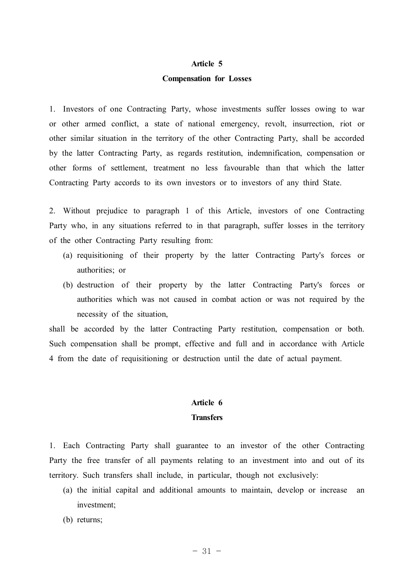#### **Article 5**

#### **Compensation for Losses**

1. Investors of one Contracting Party, whose investments suffer losses owing to war or other armed conflict, a state of national emergency, revolt, insurrection, riot or other similar situation in the territory of the other Contracting Party, shall be accorded by the latter Contracting Party, as regards restitution, indemnification, compensation or other forms of settlement, treatment no less favourable than that which the latter Contracting Party accords to its own investors or to investors of any third State.

2. Without prejudice to paragraph 1 of this Article, investors of one Contracting Party who, in any situations referred to in that paragraph, suffer losses in the territory of the other Contracting Party resulting from:

- (a) requisitioning of their property by the latter Contracting Party's forces or authorities; or
- (b) destruction of their property by the latter Contracting Party's forces or authorities which was not caused in combat action or was not required by the necessity of the situation,

shall be accorded by the latter Contracting Party restitution, compensation or both. Such compensation shall be prompt, effective and full and in accordance with Article 4 from the date of requisitioning or destruction until the date of actual payment.

### **Article 6 Transfers**

1. Each Contracting Party shall guarantee to an investor of the other Contracting Party the free transfer of all payments relating to an investment into and out of its territory. Such transfers shall include, in particular, though not exclusively:

- (a) the initial capital and additional amounts to maintain, develop or increase an investment;
- (b) returns;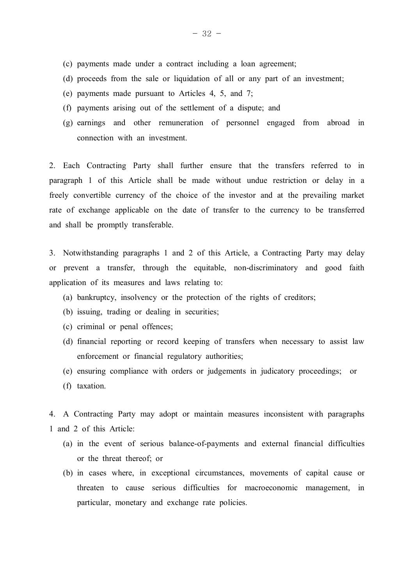- (c) payments made under a contract including a loan agreement;
- (d) proceeds from the sale or liquidation of all or any part of an investment;
- (e) payments made pursuant to Articles 4, 5, and 7;
- (f) payments arising out of the settlement of a dispute; and
- (g) earnings and other remuneration of personnel engaged from abroad in connection with an investment.

2. Each Contracting Party shall further ensure that the transfers referred to in paragraph 1 of this Article shall be made without undue restriction or delay in a freely convertible currency of the choice of the investor and at the prevailing market rate of exchange applicable on the date of transfer to the currency to be transferred and shall be promptly transferable.

3. Notwithstanding paragraphs 1 and 2 of this Article, a Contracting Party may delay or prevent a transfer, through the equitable, non-discriminatory and good faith application of its measures and laws relating to:

- (a) bankruptcy, insolvency or the protection of the rights of creditors;
- (b) issuing, trading or dealing in securities;
- (c) criminal or penal offences;
- (d) financial reporting or record keeping of transfers when necessary to assist law enforcement or financial regulatory authorities;
- (e) ensuring compliance with orders or judgements in judicatory proceedings; or
- (f) taxation.

4. A Contracting Party may adopt or maintain measures inconsistent with paragraphs 1 and 2 of this Article:

- (a) in the event of serious balance-of-payments and external financial difficulties or the threat thereof; or
- (b) in cases where, in exceptional circumstances, movements of capital cause or threaten to cause serious difficulties for macroeconomic management, in particular, monetary and exchange rate policies.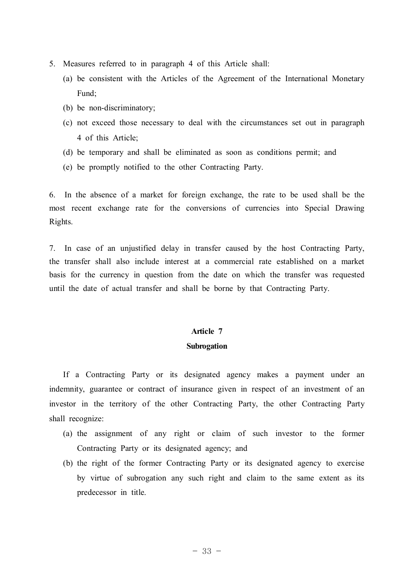- 5. Measures referred to in paragraph 4 of this Article shall:
	- (a) be consistent with the Articles of the Agreement of the International Monetary Fund;
	- (b) be non-discriminatory;
	- (c) not exceed those necessary to deal with the circumstances set out in paragraph 4 of this Article;
	- (d) be temporary and shall be eliminated as soon as conditions permit; and
	- (e) be promptly notified to the other Contracting Party.

6. In the absence of a market for foreign exchange, the rate to be used shall be the most recent exchange rate for the conversions of currencies into Special Drawing Rights.

7. In case of an unjustified delay in transfer caused by the host Contracting Party, the transfer shall also include interest at a commercial rate established on a market basis for the currency in question from the date on which the transfer was requested until the date of actual transfer and shall be borne by that Contracting Party.

# **Article 7**

### **Subrogation**

If a Contracting Party or its designated agency makes a payment under an indemnity, guarantee or contract of insurance given in respect of an investment of an investor in the territory of the other Contracting Party, the other Contracting Party shall recognize:

- (a) the assignment of any right or claim of such investor to the former Contracting Party or its designated agency; and
- (b) the right of the former Contracting Party or its designated agency to exercise by virtue of subrogation any such right and claim to the same extent as its predecessor in title.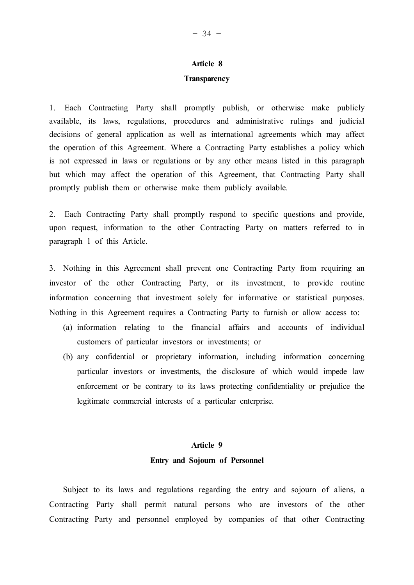## **Article 8**

#### **Transparency**

1. Each Contracting Party shall promptly publish, or otherwise make publicly available, its laws, regulations, procedures and administrative rulings and judicial decisions of general application as well as international agreements which may affect the operation of this Agreement. Where a Contracting Party establishes a policy which is not expressed in laws or regulations or by any other means listed in this paragraph but which may affect the operation of this Agreement, that Contracting Party shall promptly publish them or otherwise make them publicly available.

2. Each Contracting Party shall promptly respond to specific questions and provide, upon request, information to the other Contracting Party on matters referred to in paragraph 1 of this Article.

3. Nothing in this Agreement shall prevent one Contracting Party from requiring an investor of the other Contracting Party, or its investment, to provide routine information concerning that investment solely for informative or statistical purposes. Nothing in this Agreement requires a Contracting Party to furnish or allow access to:

- (a) information relating to the financial affairs and accounts of individual customers of particular investors or investments; or
- (b) any confidential or proprietary information, including information concerning particular investors or investments, the disclosure of which would impede law enforcement or be contrary to its laws protecting confidentiality or prejudice the legitimate commercial interests of a particular enterprise.

### **Article 9 Entry and Sojourn of Personnel**

Subject to its laws and regulations regarding the entry and sojourn of aliens, a Contracting Party shall permit natural persons who are investors of the other Contracting Party and personnel employed by companies of that other Contracting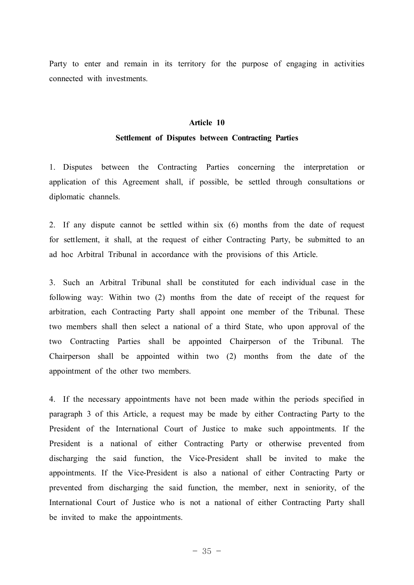Party to enter and remain in its territory for the purpose of engaging in activities connected with investments.

### **Article 10 Settlement of Disputes between Contracting Parties**

1. Disputes between the Contracting Parties concerning the interpretation or application of this Agreement shall, if possible, be settled through consultations or diplomatic channels.

2. If any dispute cannot be settled within six (6) months from the date of request for settlement, it shall, at the request of either Contracting Party, be submitted to an ad hoc Arbitral Tribunal in accordance with the provisions of this Article.

3. Such an Arbitral Tribunal shall be constituted for each individual case in the following way: Within two (2) months from the date of receipt of the request for arbitration, each Contracting Party shall appoint one member of the Tribunal. These two members shall then select a national of a third State, who upon approval of the two Contracting Parties shall be appointed Chairperson of the Tribunal. The Chairperson shall be appointed within two (2) months from the date of the appointment of the other two members.

4. If the necessary appointments have not been made within the periods specified in paragraph 3 of this Article, a request may be made by either Contracting Party to the President of the International Court of Justice to make such appointments. If the President is a national of either Contracting Party or otherwise prevented from discharging the said function, the Vice-President shall be invited to make the appointments. If the Vice-President is also a national of either Contracting Party or prevented from discharging the said function, the member, next in seniority, of the International Court of Justice who is not a national of either Contracting Party shall be invited to make the appointments.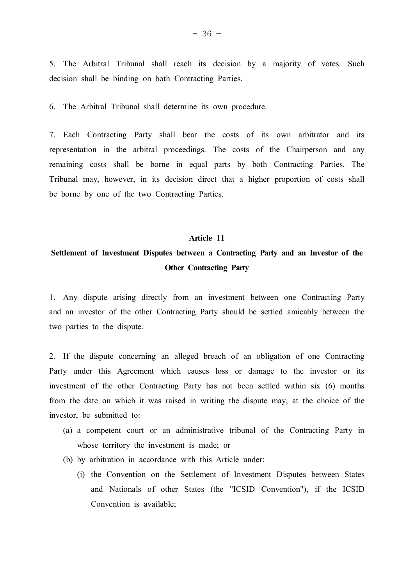5. The Arbitral Tribunal shall reach its decision by a majority of votes. Such decision shall be binding on both Contracting Parties.

6. The Arbitral Tribunal shall determine its own procedure.

7. Each Contracting Party shall bear the costs of its own arbitrator and its representation in the arbitral proceedings. The costs of the Chairperson and any remaining costs shall be borne in equal parts by both Contracting Parties. The Tribunal may, however, in its decision direct that a higher proportion of costs shall be borne by one of the two Contracting Parties.

#### **Article 11**

### **Settlement of Investment Disputes between a Contracting Party and an Investor of the Other Contracting Party**

1. Any dispute arising directly from an investment between one Contracting Party and an investor of the other Contracting Party should be settled amicably between the two parties to the dispute.

2. If the dispute concerning an alleged breach of an obligation of one Contracting Party under this Agreement which causes loss or damage to the investor or its investment of the other Contracting Party has not been settled within six (6) months from the date on which it was raised in writing the dispute may, at the choice of the investor, be submitted to:

- (a) a competent court or an administrative tribunal of the Contracting Party in whose territory the investment is made; or
- (b) by arbitration in accordance with this Article under:
	- (i) the Convention on the Settlement of Investment Disputes between States and Nationals of other States (the "ICSID Convention"), if the ICSID Convention is available;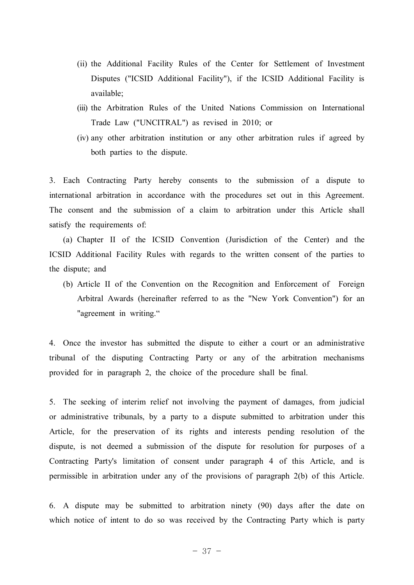- (ii) the Additional Facility Rules of the Center for Settlement of Investment Disputes ("ICSID Additional Facility"), if the ICSID Additional Facility is available;
- (iii) the Arbitration Rules of the United Nations Commission on International Trade Law ("UNCITRAL") as revised in 2010; or
- (iv) any other arbitration institution or any other arbitration rules if agreed by both parties to the dispute.

3. Each Contracting Party hereby consents to the submission of a dispute to international arbitration in accordance with the procedures set out in this Agreement. The consent and the submission of a claim to arbitration under this Article shall satisfy the requirements of:

(a) Chapter II of the ICSID Convention (Jurisdiction of the Center) and the ICSID Additional Facility Rules with regards to the written consent of the parties to the dispute; and

(b) Article II of the Convention on the Recognition and Enforcement of Foreign Arbitral Awards (hereinafter referred to as the "New York Convention") for an "agreement in writing."

4. Once the investor has submitted the dispute to either a court or an administrative tribunal of the disputing Contracting Party or any of the arbitration mechanisms provided for in paragraph 2, the choice of the procedure shall be final.

5. The seeking of interim relief not involving the payment of damages, from judicial or administrative tribunals, by a party to a dispute submitted to arbitration under this Article, for the preservation of its rights and interests pending resolution of the dispute, is not deemed a submission of the dispute for resolution for purposes of a Contracting Party's limitation of consent under paragraph 4 of this Article, and is permissible in arbitration under any of the provisions of paragraph 2(b) of this Article.

6. A dispute may be submitted to arbitration ninety (90) days after the date on which notice of intent to do so was received by the Contracting Party which is party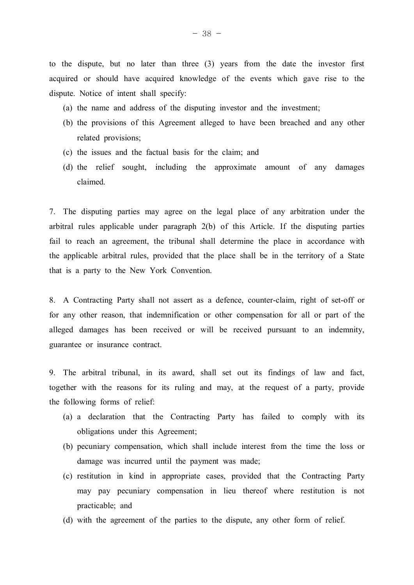to the dispute, but no later than three (3) years from the date the investor first acquired or should have acquired knowledge of the events which gave rise to the dispute. Notice of intent shall specify:

- (a) the name and address of the disputing investor and the investment;
- (b) the provisions of this Agreement alleged to have been breached and any other related provisions;
- (c) the issues and the factual basis for the claim; and
- (d) the relief sought, including the approximate amount of any damages claimed.

7. The disputing parties may agree on the legal place of any arbitration under the arbitral rules applicable under paragraph 2(b) of this Article. If the disputing parties fail to reach an agreement, the tribunal shall determine the place in accordance with the applicable arbitral rules, provided that the place shall be in the territory of a State that is a party to the New York Convention.

8. A Contracting Party shall not assert as a defence, counter-claim, right of set-off or for any other reason, that indemnification or other compensation for all or part of the alleged damages has been received or will be received pursuant to an indemnity, guarantee or insurance contract.

9. The arbitral tribunal, in its award, shall set out its findings of law and fact, together with the reasons for its ruling and may, at the request of a party, provide the following forms of relief:

- (a) a declaration that the Contracting Party has failed to comply with its obligations under this Agreement;
- (b) pecuniary compensation, which shall include interest from the time the loss or damage was incurred until the payment was made;
- (c) restitution in kind in appropriate cases, provided that the Contracting Party may pay pecuniary compensation in lieu thereof where restitution is not practicable; and
- (d) with the agreement of the parties to the dispute, any other form of relief.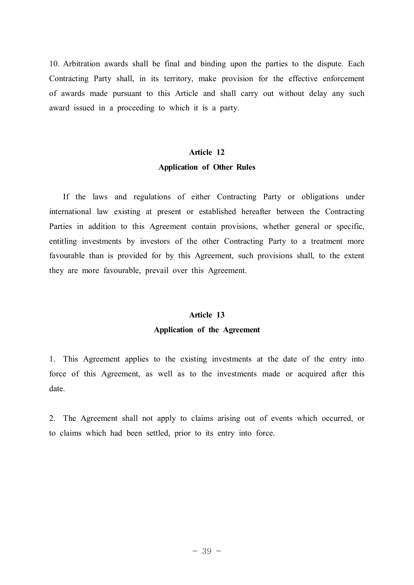10. Arbitration awards shall be final and binding upon the parties to the dispute. Each Contracting Party shall, in its territory, make provision for the effective enforcement of awards made pursuant to this Article and shall carry out without delay any such award issued in a proceeding to which it is a party.

### **Article 12 Application of Other Rules**

If the laws and regulations of either Contracting Party or obligations under international law existing at present or established hereafter between the Contracting Parties in addition to this Agreement contain provisions, whether general or specific, entitling investments by investors of the other Contracting Party to a treatment more favourable than is provided for by this Agreement, such provisions shall, to the extent they are more favourable, prevail over this Agreement.

### **Article 13 Application of the Agreement**

1. This Agreement applies to the existing investments at the date of the entry into force of this Agreement, as well as to the investments made or acquired after this date.

2. The Agreement shall not apply to claims arising out of events which occurred, or to claims which had been settled, prior to its entry into force.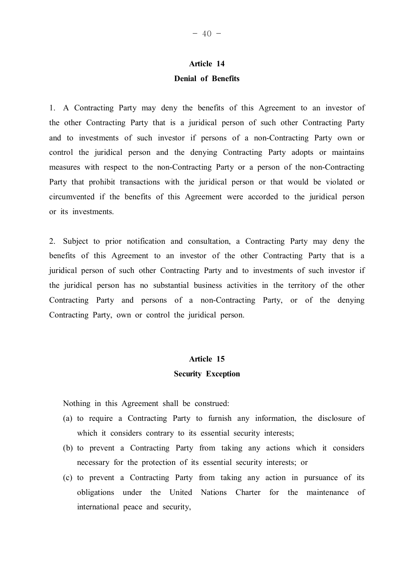### **Article 14 Denial of Benefits**

1. A Contracting Party may deny the benefits of this Agreement to an investor of the other Contracting Party that is a juridical person of such other Contracting Party and to investments of such investor if persons of a non-Contracting Party own or control the juridical person and the denying Contracting Party adopts or maintains measures with respect to the non-Contracting Party or a person of the non-Contracting Party that prohibit transactions with the juridical person or that would be violated or circumvented if the benefits of this Agreement were accorded to the juridical person or its investments.

2. Subject to prior notification and consultation, a Contracting Party may deny the benefits of this Agreement to an investor of the other Contracting Party that is a juridical person of such other Contracting Party and to investments of such investor if the juridical person has no substantial business activities in the territory of the other Contracting Party and persons of a non-Contracting Party, or of the denying Contracting Party, own or control the juridical person.

### **Article 15 Security Exception**

Nothing in this Agreement shall be construed:

- (a) to require a Contracting Party to furnish any information, the disclosure of which it considers contrary to its essential security interests;
- (b) to prevent a Contracting Party from taking any actions which it considers necessary for the protection of its essential security interests; or
- (c) to prevent a Contracting Party from taking any action in pursuance of its obligations under the United Nations Charter for the maintenance of international peace and security,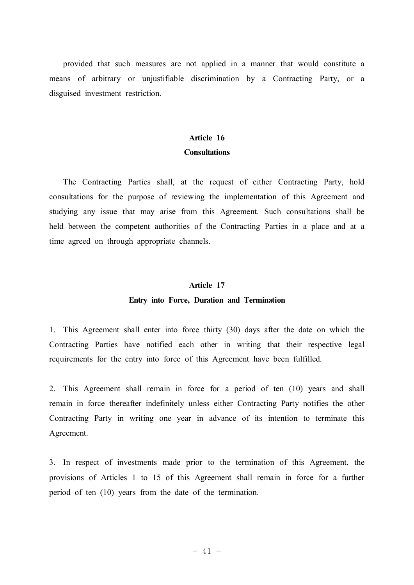provided that such measures are not applied in a manner that would constitute a means of arbitrary or unjustifiable discrimination by a Contracting Party, or a disguised investment restriction.

### **Article 16 Consultations**

The Contracting Parties shall, at the request of either Contracting Party, hold consultations for the purpose of reviewing the implementation of this Agreement and studying any issue that may arise from this Agreement. Such consultations shall be held between the competent authorities of the Contracting Parties in a place and at a time agreed on through appropriate channels.

#### **Article 17**

#### **Entry into Force, Duration and Termination**

1. This Agreement shall enter into force thirty (30) days after the date on which the Contracting Parties have notified each other in writing that their respective legal requirements for the entry into force of this Agreement have been fulfilled.

2. This Agreement shall remain in force for a period of ten (10) years and shall remain in force thereafter indefinitely unless either Contracting Party notifies the other Contracting Party in writing one year in advance of its intention to terminate this Agreement.

3. In respect of investments made prior to the termination of this Agreement, the provisions of Articles 1 to 15 of this Agreement shall remain in force for a further period of ten (10) years from the date of the termination.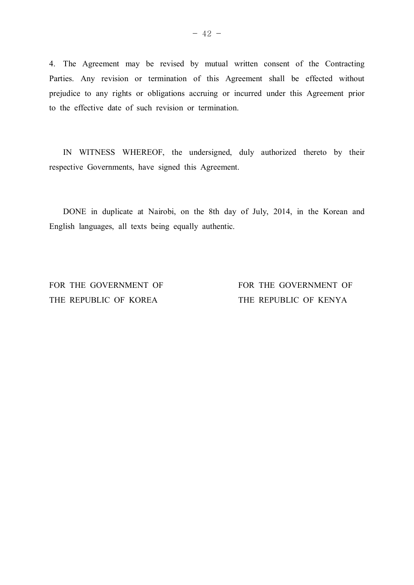4. The Agreement may be revised by mutual written consent of the Contracting Parties. Any revision or termination of this Agreement shall be effected without prejudice to any rights or obligations accruing or incurred under this Agreement prior to the effective date of such revision or termination.

IN WITNESS WHEREOF, the undersigned, duly authorized thereto by their respective Governments, have signed this Agreement.

DONE in duplicate at Nairobi, on the 8th day of July, 2014, in the Korean and English languages, all texts being equally authentic.

THE REPUBLIC OF KOREA THE REPUBLIC OF KENYA

FOR THE GOVERNMENT OF FOR THE GOVERNMENT OF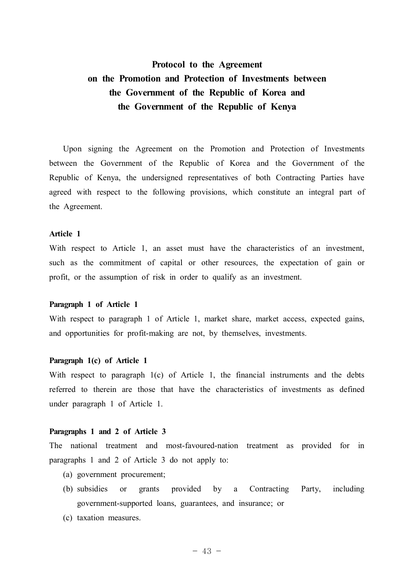## **Protocol to the Agreement on the Promotion and Protection of Investments between the Government of the Republic of Korea and the Government of the Republic of Kenya**

Upon signing the Agreement on the Promotion and Protection of Investments between the Government of the Republic of Korea and the Government of the Republic of Kenya, the undersigned representatives of both Contracting Parties have agreed with respect to the following provisions, which constitute an integral part of the Agreement.

#### **Article 1**

With respect to Article 1, an asset must have the characteristics of an investment, such as the commitment of capital or other resources, the expectation of gain or profit, or the assumption of risk in order to qualify as an investment.

#### **Paragraph 1 of Article 1**

With respect to paragraph 1 of Article 1, market share, market access, expected gains, and opportunities for profit-making are not, by themselves, investments.

#### **Paragraph 1(c) of Article 1**

With respect to paragraph 1(c) of Article 1, the financial instruments and the debts referred to therein are those that have the characteristics of investments as defined under paragraph 1 of Article 1.

#### **Paragraphs 1 and 2 of Article 3**

The national treatment and most-favoured-nation treatment as provided for in paragraphs 1 and 2 of Article 3 do not apply to:

- (a) government procurement;
- (b) subsidies or grants provided by a Contracting Party, including government-supported loans, guarantees, and insurance; or
- (c) taxation measures.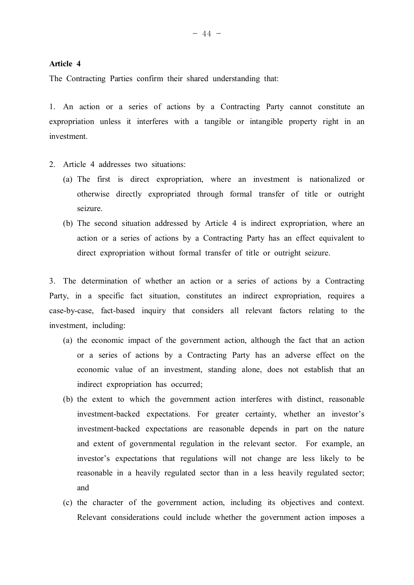#### **Article 4**

The Contracting Parties confirm their shared understanding that:

1. An action or a series of actions by a Contracting Party cannot constitute an expropriation unless it interferes with a tangible or intangible property right in an investment.

- 2. Article 4 addresses two situations:
	- (a) The first is direct expropriation, where an investment is nationalized or otherwise directly expropriated through formal transfer of title or outright seizure.
	- (b) The second situation addressed by Article 4 is indirect expropriation, where an action or a series of actions by a Contracting Party has an effect equivalent to direct expropriation without formal transfer of title or outright seizure.

3. The determination of whether an action or a series of actions by a Contracting Party, in a specific fact situation, constitutes an indirect expropriation, requires a case-by-case, fact-based inquiry that considers all relevant factors relating to the investment, including:

- (a) the economic impact of the government action, although the fact that an action or a series of actions by a Contracting Party has an adverse effect on the economic value of an investment, standing alone, does not establish that an indirect expropriation has occurred;
- (b) the extent to which the government action interferes with distinct, reasonable investment-backed expectations. For greater certainty, whether an investor's investment-backed expectations are reasonable depends in part on the nature and extent of governmental regulation in the relevant sector. For example, an investor's expectations that regulations will not change are less likely to be reasonable in a heavily regulated sector than in a less heavily regulated sector; and
- (c) the character of the government action, including its objectives and context. Relevant considerations could include whether the government action imposes a